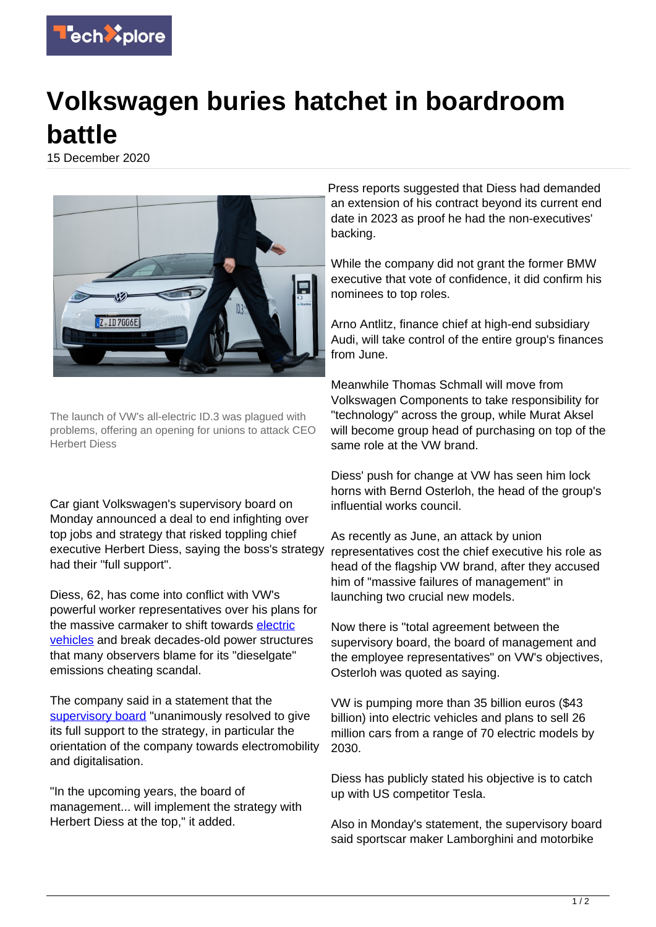

## **Volkswagen buries hatchet in boardroom battle**

15 December 2020



The launch of VW's all-electric ID.3 was plagued with problems, offering an opening for unions to attack CEO Herbert Diess

Car giant Volkswagen's supervisory board on Monday announced a deal to end infighting over top jobs and strategy that risked toppling chief executive Herbert Diess, saying the boss's strategy had their "full support".

Diess, 62, has come into conflict with VW's powerful worker representatives over his plans for the massive carmaker to shift towards [electric](https://techxplore.com/tags/electric+vehicles/) [vehicles](https://techxplore.com/tags/electric+vehicles/) and break decades-old power structures that many observers blame for its "dieselgate" emissions cheating scandal.

The company said in a statement that the [supervisory board](https://techxplore.com/tags/supervisory+board/) "unanimously resolved to give its full support to the strategy, in particular the orientation of the company towards electromobility and digitalisation.

"In the upcoming years, the board of management... will implement the strategy with Herbert Diess at the top," it added.

Press reports suggested that Diess had demanded an extension of his contract beyond its current end date in 2023 as proof he had the non-executives' backing.

While the company did not grant the former BMW executive that vote of confidence, it did confirm his nominees to top roles.

Arno Antlitz, finance chief at high-end subsidiary Audi, will take control of the entire group's finances from June.

Meanwhile Thomas Schmall will move from Volkswagen Components to take responsibility for "technology" across the group, while Murat Aksel will become group head of purchasing on top of the same role at the VW brand.

Diess' push for change at VW has seen him lock horns with Bernd Osterloh, the head of the group's influential works council.

As recently as June, an attack by union representatives cost the chief executive his role as head of the flagship VW brand, after they accused him of "massive failures of management" in launching two crucial new models.

Now there is "total agreement between the supervisory board, the board of management and the employee representatives" on VW's objectives, Osterloh was quoted as saying.

VW is pumping more than 35 billion euros (\$43 billion) into electric vehicles and plans to sell 26 million cars from a range of 70 electric models by 2030.

Diess has publicly stated his objective is to catch up with US competitor Tesla.

Also in Monday's statement, the supervisory board said sportscar maker Lamborghini and motorbike